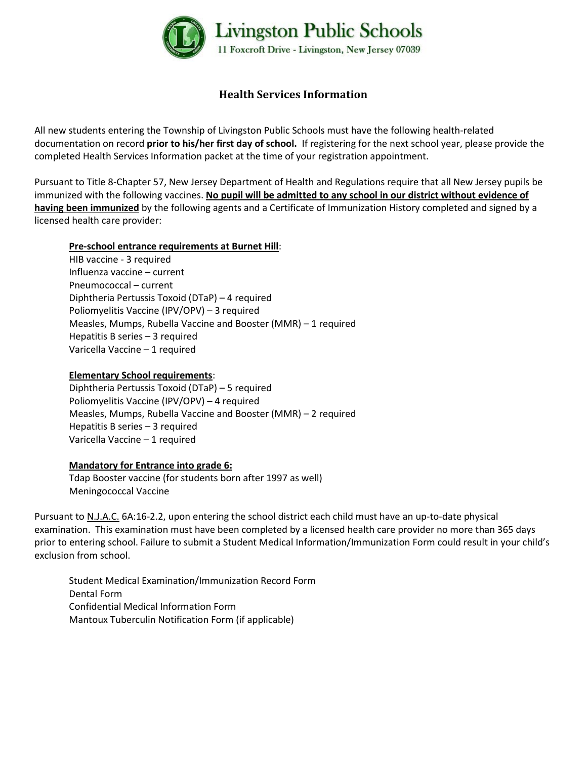

# **Health Services Information**

All new students entering the Township of Livingston Public Schools must have the following health-related documentation on record **prior to his/her first day of school.** If registering for the next school year, please provide the completed Health Services Information packet at the time of your registration appointment.

Pursuant to Title 8-Chapter 57, New Jersey Department of Health and Regulations require that all New Jersey pupils be immunized with the following vaccines. **No pupil will be admitted to any school in our district without evidence of having been immunized** by the following agents and a Certificate of Immunization History completed and signed by a licensed health care provider:

#### **Pre-school entrance requirements at Burnet Hill**:

HIB vaccine - 3 required Influenza vaccine – current Pneumococcal – current Diphtheria Pertussis Toxoid (DTaP) – 4 required Poliomyelitis Vaccine (IPV/OPV) – 3 required Measles, Mumps, Rubella Vaccine and Booster (MMR) – 1 required Hepatitis B series – 3 required Varicella Vaccine – 1 required

#### **Elementary School requirements**:

Diphtheria Pertussis Toxoid (DTaP) – 5 required Poliomyelitis Vaccine (IPV/OPV) – 4 required Measles, Mumps, Rubella Vaccine and Booster (MMR) – 2 required Hepatitis B series – 3 required Varicella Vaccine – 1 required

#### **Mandatory for Entrance into grade 6:**

Tdap Booster vaccine (for students born after 1997 as well) Meningococcal Vaccine

Pursuant to N.J.A.C. 6A:16-2.2, upon entering the school district each child must have an up-to-date physical examination. This examination must have been completed by a licensed health care provider no more than 365 days prior to entering school. Failure to submit a Student Medical Information/Immunization Form could result in your child's exclusion from school.

Student Medical Examination/Immunization Record Form Dental Form Confidential Medical Information Form Mantoux Tuberculin Notification Form (if applicable)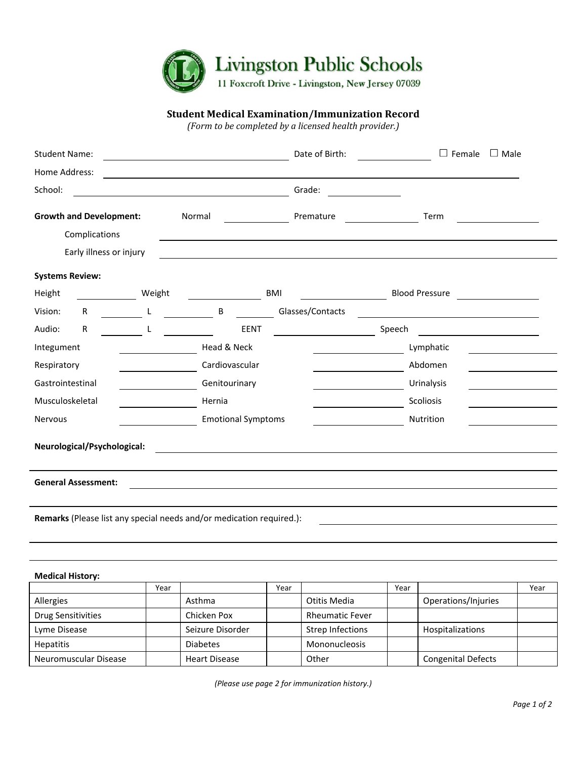

#### **Student Medical Examination/Immunization Record**

*(Form to be completed by a licensed health provider.)*

| <b>Student Name:</b>                                                 |        | <u> 1989 - Johann Barnett, fransk politiker (d. 1989)</u> | Date of Birth:   | $\Box$<br>Female<br>$\Box$ Male                                     |  |  |  |  |
|----------------------------------------------------------------------|--------|-----------------------------------------------------------|------------------|---------------------------------------------------------------------|--|--|--|--|
| Home Address:                                                        |        |                                                           |                  |                                                                     |  |  |  |  |
| School:                                                              |        |                                                           | Grade:           |                                                                     |  |  |  |  |
| <b>Growth and Development:</b>                                       |        | Normal                                                    | Premature        | Term                                                                |  |  |  |  |
| Complications                                                        |        |                                                           |                  |                                                                     |  |  |  |  |
| Early illness or injury                                              |        |                                                           |                  |                                                                     |  |  |  |  |
| <b>Systems Review:</b>                                               |        |                                                           |                  |                                                                     |  |  |  |  |
| Height                                                               | Weight | BMI                                                       |                  | <b>Blood Pressure</b><br><u> 1999 - Jan Barnett, politik e</u> ta p |  |  |  |  |
| Vision:<br>$\mathsf{R}$                                              | L      | B                                                         | Glasses/Contacts |                                                                     |  |  |  |  |
| Audio:<br>$\mathsf{R}$                                               | L      | <b>EENT</b>                                               |                  | Speech                                                              |  |  |  |  |
| Integument                                                           |        | Head & Neck                                               |                  | Lymphatic                                                           |  |  |  |  |
| Respiratory                                                          |        | Cardiovascular                                            |                  | Abdomen                                                             |  |  |  |  |
| Gastrointestinal                                                     |        | Genitourinary                                             |                  | Urinalysis                                                          |  |  |  |  |
| Musculoskeletal                                                      |        | Hernia                                                    |                  | Scoliosis                                                           |  |  |  |  |
| Nervous                                                              |        | <b>Emotional Symptoms</b>                                 |                  | Nutrition                                                           |  |  |  |  |
| Neurological/Psychological:                                          |        |                                                           |                  |                                                                     |  |  |  |  |
| <b>General Assessment:</b>                                           |        |                                                           |                  |                                                                     |  |  |  |  |
| Remarks (Please list any special needs and/or medication required.): |        |                                                           |                  |                                                                     |  |  |  |  |
|                                                                      |        |                                                           |                  |                                                                     |  |  |  |  |

#### **Medical History:**

|                       | Year |                      | Year |                        | Year |                           | Year |
|-----------------------|------|----------------------|------|------------------------|------|---------------------------|------|
| Allergies             |      | Asthma               |      | Otitis Media           |      | Operations/Injuries       |      |
| Drug Sensitivities    |      | Chicken Pox          |      | <b>Rheumatic Fever</b> |      |                           |      |
| Lyme Disease          |      | Seizure Disorder     |      | Strep Infections       |      | <b>Hospitalizations</b>   |      |
| <b>Hepatitis</b>      |      | <b>Diabetes</b>      |      | Mononucleosis          |      |                           |      |
| Neuromuscular Disease |      | <b>Heart Disease</b> |      | Other                  |      | <b>Congenital Defects</b> |      |

*(Please use page 2 for immunization history.)*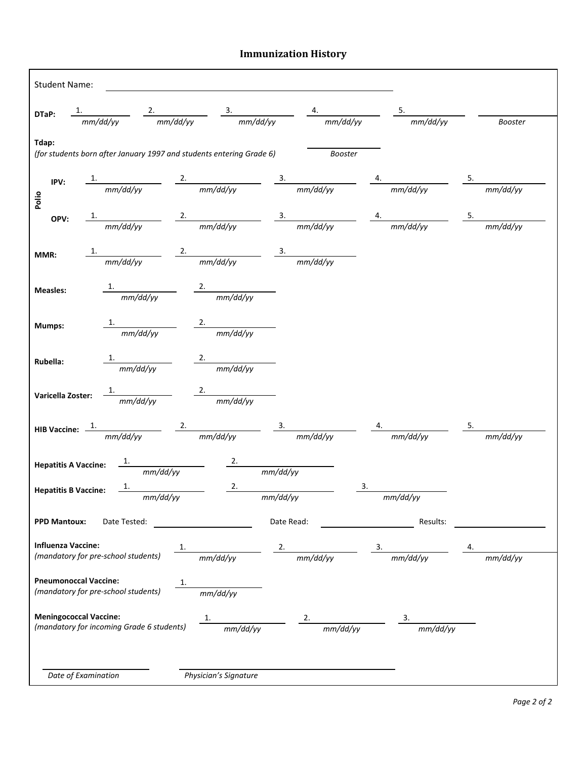## **Immunization History**

|                           |                                     |                                                                                                                                                                                                                                                       |                              |            |          | DTaP: $\frac{1}{mm/dd/yy}$ $\frac{2}{mm/dd/yy}$ $\frac{3}{mm/dd/yy}$ $\frac{4}{mm/dd/yy}$ $\frac{5}{mm/dd/yy}$ $\frac{5}{mm/dd/yy}$ $\frac{5}{mm/dd/yy}$ |  |
|---------------------------|-------------------------------------|-------------------------------------------------------------------------------------------------------------------------------------------------------------------------------------------------------------------------------------------------------|------------------------------|------------|----------|----------------------------------------------------------------------------------------------------------------------------------------------------------|--|
| Tdap:                     |                                     | (for students born after January 1997 and students entering Grade 6)                                                                                                                                                                                  |                              |            | Booster  |                                                                                                                                                          |  |
|                           |                                     |                                                                                                                                                                                                                                                       |                              |            |          | IPV: $\frac{1}{mm/dd/yy}$ $\frac{2.}{mm/dd/yy}$ $\frac{3.}{mm/dd/yy}$ $\frac{4.}{mm/dd/yy}$ $\frac{5.}{mm/dd/yy}$ $\frac{5.}{mm/dd/yy}$                  |  |
| Polio                     |                                     |                                                                                                                                                                                                                                                       |                              |            |          |                                                                                                                                                          |  |
|                           |                                     |                                                                                                                                                                                                                                                       |                              |            |          | <b>OPV:</b> $\frac{1.}{mm/dd/yy}$ $\frac{2.}{mm/dd/yy}$ $\frac{3.}{mm/dd/yy}$ $\frac{4.}{mm/dd/yy}$ $\frac{5.}{mm/dd/yy}$                                |  |
|                           |                                     |                                                                                                                                                                                                                                                       |                              |            |          |                                                                                                                                                          |  |
| MMR:                      |                                     | $\frac{1}{\frac{1}{\frac{1}{\frac{1}{\frac{1}{\sqrt{1}}}}\frac{1}{\frac{1}{\sqrt{1}}}} \frac{2}{\frac{2}{\frac{1}{\sqrt{1}}\frac{1}{\sqrt{1}}\frac{1}{\sqrt{1}}}} \frac{3}{\frac{3}{\sqrt{1-\frac{1}{\sqrt{1}}\frac{1}{\sqrt{1}}\frac{1}{\sqrt{1}}}}$ |                              |            |          |                                                                                                                                                          |  |
|                           |                                     |                                                                                                                                                                                                                                                       |                              |            |          |                                                                                                                                                          |  |
| <b>Measles:</b>           |                                     | $\frac{1}{mm/dd/vv}$ $\frac{2.}{mm/dd/vy}$                                                                                                                                                                                                            |                              |            |          |                                                                                                                                                          |  |
|                           |                                     |                                                                                                                                                                                                                                                       |                              |            |          |                                                                                                                                                          |  |
|                           |                                     |                                                                                                                                                                                                                                                       |                              |            |          |                                                                                                                                                          |  |
| Mumps:                    |                                     | $\frac{1.}{2.}$ mm/dd/vv $\frac{2.}{2.}$ mm/dd/yy                                                                                                                                                                                                     |                              |            |          |                                                                                                                                                          |  |
|                           |                                     |                                                                                                                                                                                                                                                       |                              |            |          |                                                                                                                                                          |  |
| Rubella:                  |                                     | $\frac{1}{\frac{1}{\frac{1}{2}}\frac{1}{\frac{1}{2}}\frac{1}{\frac{1}{2}}}}$ $\frac{2.}{\frac{1}{2}}$                                                                                                                                                 |                              |            |          |                                                                                                                                                          |  |
|                           |                                     |                                                                                                                                                                                                                                                       |                              |            |          |                                                                                                                                                          |  |
|                           |                                     | Varicella Zoster: $\frac{1}{m m/dd/vv}$ $\frac{2.}{mm/dd/vy}$                                                                                                                                                                                         |                              |            |          |                                                                                                                                                          |  |
|                           |                                     |                                                                                                                                                                                                                                                       |                              |            |          |                                                                                                                                                          |  |
|                           |                                     |                                                                                                                                                                                                                                                       |                              |            |          | HIB Vaccine: $\frac{1}{m m/dd/yy}$ $\frac{2.}{m m/dd/yy}$ $\frac{3.}{m m/dd/yy}$ $\frac{4.}{m m/dd/yy}$ $\frac{5.}{m m/dd/yy}$                           |  |
|                           |                                     |                                                                                                                                                                                                                                                       |                              |            |          |                                                                                                                                                          |  |
|                           |                                     | Hepatitis A Vaccine: $\frac{1.}{mm/dd/yy}$ 2. mm/dd/yy                                                                                                                                                                                                |                              |            |          |                                                                                                                                                          |  |
|                           |                                     |                                                                                                                                                                                                                                                       |                              |            |          |                                                                                                                                                          |  |
|                           |                                     | Hepatitis B Vaccine: $\frac{1.}{mm/dd/yy}$ $\frac{2.}{mm/dd/yy}$                                                                                                                                                                                      |                              |            |          | $\frac{3.}{2}$ mm/dd/yy                                                                                                                                  |  |
| <b>PPD Mantoux:</b>       | Date Tested:                        |                                                                                                                                                                                                                                                       |                              | Date Read: |          | Results:                                                                                                                                                 |  |
| <b>Influenza Vaccine:</b> |                                     |                                                                                                                                                                                                                                                       |                              | 2.         |          |                                                                                                                                                          |  |
|                           | (mandatory for pre-school students) |                                                                                                                                                                                                                                                       | $\frac{1}{\frac{mm}{dd/yy}}$ |            | mm/dd/yy | $\frac{3.}{mm/dd/yy}$                                                                                                                                    |  |
|                           | <b>Pneumonoccal Vaccine:</b>        |                                                                                                                                                                                                                                                       |                              |            |          |                                                                                                                                                          |  |
|                           | (mandatory for pre-school students) |                                                                                                                                                                                                                                                       | mm/dd/yy                     |            |          |                                                                                                                                                          |  |
|                           | <b>Meningococcal Vaccine:</b>       |                                                                                                                                                                                                                                                       | 1.                           |            |          |                                                                                                                                                          |  |
|                           |                                     | (mandatory for incoming Grade 6 students)                                                                                                                                                                                                             | mm/dd/yy                     |            | mm/dd/yy | mm/dd/yy                                                                                                                                                 |  |